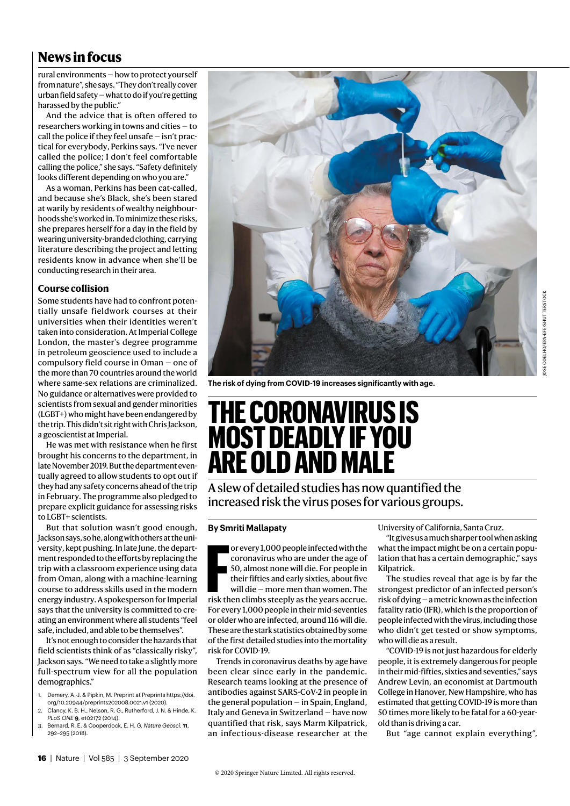# **News in focus**

rural environments — how to protect yourself from nature", she says. "They don't really cover urban field safety — what to do if you're getting harassed by the public."

And the advice that is often offered to researchers working in towns and cities — to call the police if they feel unsafe — isn't practical for everybody, Perkins says. "I've never called the police; I don't feel comfortable calling the police," she says. "Safety definitely looks different depending on who you are."

As a woman, Perkins has been cat-called, and because she's Black, she's been stared at warily by residents of wealthy neighbourhoods she's worked in. To minimize these risks, she prepares herself for a day in the field by wearing university-branded clothing, carrying literature describing the project and letting residents know in advance when she'll be conducting research in their area.

### **Course collision**

Some students have had to confront potentially unsafe fieldwork courses at their universities when their identities weren't taken into consideration. At Imperial College London, the master's degree programme in petroleum geoscience used to include a compulsory field course in Oman — one of the more than 70 countries around the world where same-sex relations are criminalized. No guidance or alternatives were provided to scientists from sexual and gender minorities (LGBT+) who might have been endangered by the trip. This didn't sit right with Chris Jackson, a geoscientist at Imperial.

He was met with resistance when he first brought his concerns to the department, in late November 2019. But the department eventually agreed to allow students to opt out if they had any safety concerns ahead of the trip in February. The programme also pledged to prepare explicit guidance for assessing risks to LGBT+ scientists.

But that solution wasn't good enough, Jackson says, so he, along with others at the university, kept pushing. In late June, the department responded to the efforts by replacing the trip with a classroom experience using data from Oman, along with a machine-learning course to address skills used in the modern energy industry. A spokesperson for Imperial says that the university is committed to creating an environment where all students "feel safe, included, and able to be themselves".

It's not enough to consider the hazards that field scientists think of as "classically risky", Jackson says. "We need to take a slightly more full-spectrum view for all the population demographics."

- 1. Demery, A.-J. & Pipkin, M. Preprint at Preprints https://doi. org/10.20944/preprints202008.0021.v1 (2020).
- 2. Clancy, K. B. H., Nelson, R. G., Rutherford, J. N. & Hinde, K. *PLoS ONE* **9**, e102172 (2014).
- 3. Bernard, R. E. & Cooperdock, E. H. G. *Nature Geosci.* **11**, 292–295 (2018).



**The risk of dying from COVID-19 increases significantly with age.**

# **THE CORONAVIRUS IS MOST DEADLY IF YOU ARE OLD AND MALE**

A slew of detailed studies has now quantified the increased risk the virus poses for various groups.

## **By Smriti Mallapaty**

**FREE ST AND ST AND CONCREDUCTS STEP ST AND ST AND ST SO, almost none will die. For people in their fifties and early sixties, about five will die – more men than women. The risk then climbs steeply as the years accrue.** or every 1,000 people infected with the coronavirus who are under the age of 50, almost none will die. For people in their fifties and early sixties, about five will die — more men than women. The For every 1,000 people in their mid-seventies or older who are infected, around 116 will die. These are the stark statistics obtained by some of the first detailed studies into the mortality risk for COVID-19.

Trends in coronavirus deaths by age have been clear since early in the pandemic. Research teams looking at the presence of antibodies against SARS-CoV-2 in people in the general population — in Spain, England, Italy and Geneva in Switzerland — have now quantified that risk, says Marm Kilpatrick, an infectious-disease researcher at the University of California, Santa Cruz.

"It gives us a much sharper tool when asking what the impact might be on a certain population that has a certain demographic," says Kilpatrick.

The studies reveal that age is by far the strongest predictor of an infected person's risk of dying — a metric known as the infection fatality ratio (IFR), which is the proportion of people infected with the virus, including those who didn't get tested or show symptoms, who will die as a result.

"COVID-19 is not just hazardous for elderly people, it is extremely dangerous for people in their mid-fifties, sixties and seventies," says Andrew Levin, an economist at Dartmouth College in Hanover, New Hampshire, who has estimated that getting COVID-19 is more than 50 times more likely to be fatal for a 60-yearold than is driving a car.

But "age cannot explain everything",